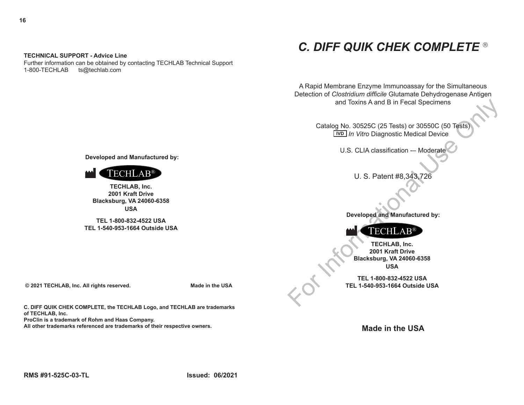# *C. DIFF QUIK CHEK COMPLETE*

A Rapid Membrane Enzyme Immunoassay for the Simultaneous Detection of *Clostridium difficile* Glutamate Dehydrogenase Antigen and Toxins A and B in Fecal Specimens

and Toxins A and B in Fecal Specimens<br>
Catalog No. 30525C (25 Tests) or 30550C (50 Tests)<br>
<u>IWD</u> *In Vitro* Diagnostic Medical Device<br>
U.S. CLIA classification — Moderate<br>
U.S. Patent #8,343,726<br>
Peveloped and Manufactured Catalog No. 30525C (25 Tests) or 30550C (50 Tests)  *In Vitro* Diagnostic Medical Device **IVD**

U.S. CLIA classification -– Moderate

U. S. Patent #8,343,726

**Developed and Manufactured by:**



**TECHLAB, Inc. 2001 Kraft Drive Blacksburg, VA 24060-6358 USA**

**TEL 1-800-832-4522 USA TEL 1-540-953-1664 Outside USA**

**Made in the USA**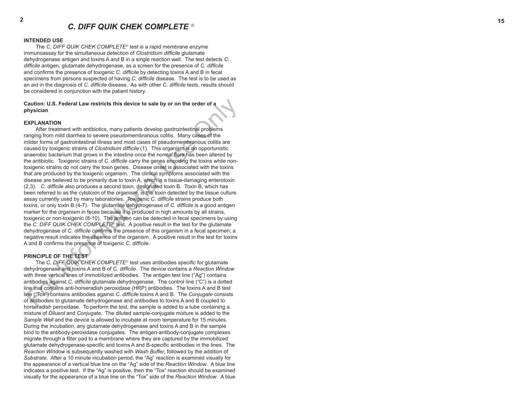#### **INTENDED USE**

The *C. DIFF QUIK CHEK COMPLETE*<sup>®</sup> test is a rapid membrane enzyme immunoassay for the simultaneous detection of *Clostridium difficile* glutamate dehydrogenase antigen and toxins A and B in a single reaction well. The test detects *C. difficile* antigen, glutamate dehydrogenase, as a screen for the presence of *C. difficile*  and confirms the presence of toxigenic *C. difficile* by detecting toxins A and B in fecal specimens from persons suspected of having *C. difficile* disease. The test is to be used as an aid in the diagnosis of *C. difficile* disease. As with other *C. difficile* tests, results should be considered in conjunction with the patient history.

# **Caution: U.S. Federal Law restricts this device to sale by or on the order of a physician**

#### **EXPLANATION**

Caution: U.S. Federal Law restricts this device to sale by or on the order of a<br>
Mysician<br>
X-INLANTION<br>
X-INLANTION<br>
X-INLANTION<br>
X-INLANTION<br>
X-INLANTION<br>
X-INLANTION<br>
X-INLANTION<br>
X-INLANTION<br>
X-INLANTION<br>
X-INLANTION<br> After treatment with antibiotics, many patients develop gastrointestinal problems ranging from mild diarrhea to severe pseudomembranous colitis. Many cases of the milder forms of gastrointestinal illness and most cases of pseudomembranous colitis are caused by toxigenic strains of *Clostridium difficile* (1). This organism is an opportunistic anaerobic bacterium that grows in the intestine once the normal flora has been altered by the antibiotic. Toxigenic strains of *C. difficile* carry the genes encoding the toxins while nontoxigenic strains do not carry the toxin genes. Disease onset is associated with the toxins that are produced by the toxigenic organism. The clinical symptoms associated with the disease are believed to be primarily due to toxin A, which is a tissue-damaging enterotoxin (2,3). *C. difficile* also produces a second toxin, designated toxin B. Toxin B, which has been referred to as the cytotoxin of the organism, is the toxin detected by the tissue culture assay currently used by many laboratories. Toxigenic *C. difficile* strains produce both toxins, or only toxin B (4-7). The glutamate dehydrogenase of *C. difficile* is a good antigen marker for the organism in feces because it is produced in high amounts by all strains, toxigenic or non-toxigenic (8-10). The antigen can be detected in fecal specimens by using the *C. DIFF QUIK CHEK COMPLETE*<sup>®</sup> test. A positive result in the test for the glutamate dehydrogenase of *C. difficile* confirms the presence of this organism in a fecal specimen; a negative result indicates the absence of the organism. A positive result in the test for toxins A and B confirms the presence of toxigenic *C. difficile*.

# **PRINCIPLE OF THE TEST**

The *C. DIFF QUIK CHEK COMPLETE*<sup>®</sup> test uses antibodies specific for glutamate dehydrogenase and toxins A and B of *C. difficile*. The device contains a *Reaction Window* with three vertical lines of immobilized antibodies. The antigen test line ("Ag") contains antibodies against *C. difficile* glutamate dehydrogenase. The control line ("C") is a dotted line that contains anti-horseradish peroxidase (HRP) antibodies. The toxins A and B test line ("Tox") contains antibodies against *C. difficile* toxins A and B. The *Conjugate* consists of antibodies to glutamate dehydrogenase and antibodies to toxins A and B coupled to horseradish peroxidase. To perform the test, the sample is added to a tube containing a mixture of *Diluent* and *Conjugate*. The diluted sample-conjugate mixture is added to the *Sample Well* and the device is allowed to incubate at room temperature for 15 minutes. During the incubation, any glutamate dehydrogenase and toxins A and B in the sample bind to the antibody-peroxidase conjugates. The antigen-antibody-conjugate complexes migrate through a filter pad to a membrane where they are captured by the immobilized glutamate dehydrogenase-specific and toxins A and B-specific antibodies in the lines. The *Reaction Window* is subsequently washed with *Wash Buffer*, followed by the addition of *Substrate*. After a 10 minute incubation period, the "Ag" reaction is examined visually for the appearance of a vertical blue line on the "Ag" side of the *Reaction Window*. A blue line indicates a positive test. If the "Ag" is positive, then the "Tox" reaction should be examined visually for the appearance of a blue line on the "Tox" side of the *Reaction Window*. A blue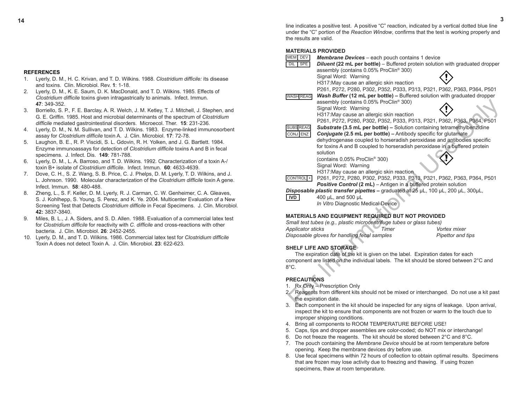**14 3** line indicates a positive test. A positive "C" reaction, indicated by a vertical dotted blue line under the "C" portion of the *Reaction Window*, confirms that the test is working properly and the results are valid.

# **MATERIALS PROVIDED**

| MEM DEV                  | <b>Membrane Devices</b> – each pouch contains 1 device                                     |                   |
|--------------------------|--------------------------------------------------------------------------------------------|-------------------|
| DIL<br><b>SPE</b>        | <b>Diluent (22 mL per bottle)</b> – Buffered protein solution with graduated dropper       |                   |
|                          | assembly (contains 0.05% ProClin® 300)                                                     |                   |
|                          | Signal Word: Warning                                                                       |                   |
|                          | H317: May cause an allergic skin reaction                                                  |                   |
|                          | P261, P272, P280, P302, P352, P333, P313, P321, P362, P363, P364, P501                     |                   |
| <b>WASH REAG</b>         | Wash Buffer (12 mL per bottle) - Buffered solution with graduated dropper                  |                   |
|                          | assembly (contains 0.05% ProClin® 300)                                                     |                   |
|                          | Signal Word: Warning                                                                       |                   |
|                          | H317: May cause an allergic skin reaction                                                  |                   |
|                          | P261, P272, P280, P302, P352, P333, P313, P321, P362, P363, P364, P501                     |                   |
| <b>SUBS REAG</b>         | Substrate (3.5 mL per bottle) - Solution containing tetramethylbenzidine                   |                   |
| CONJ ENZ                 | <b>Conjugate (2.5 mL per bottle) – Antibody specific for glutamate</b>                     |                   |
|                          | dehydrogenase coupled to horseradish peroxidase and antibodies specific                    |                   |
|                          | for toxins A and B coupled to horseradish peroxidase in a buffered protein                 |                   |
|                          | solution                                                                                   |                   |
|                          | (contains 0.05% ProClin <sup>®</sup> 300)                                                  |                   |
|                          | Signal Word: Warning                                                                       |                   |
|                          | H317: May cause an allergic skin reaction                                                  |                   |
| CONTROL <sup>+</sup>     | P261, P272, P280, P302, P352, P333, P313, P321, P362, P363, P364, P501                     |                   |
|                          | Positive Control (2 mL) - Antigen in a buffered protein solution                           |                   |
|                          | Disposable plastic transfer pipettes – graduated at 25 µL, 100 µL, 200 µL, 300µL,          |                   |
| IVD                      | 400 µL, and 500 µL                                                                         |                   |
|                          | In Vitro Diagnostic Medical Device                                                         |                   |
|                          |                                                                                            |                   |
|                          | <b>MATERIALS AND EQUIPMENT REQUIRED BUT NOT PROVIDED</b>                                   |                   |
|                          | Small test tubes (e.g., plastic microcentrifuge tubes or glass tubes)                      |                   |
| <b>Applicator sticks</b> | Timer                                                                                      | Vortex mixer      |
|                          | Disposable gloves for handling fecal samples                                               | Pipettor and tips |
|                          |                                                                                            |                   |
|                          | <b>SHELF LIFE AND STORAGE</b>                                                              |                   |
|                          | The expiration date of the kit is given on the label. Expiration dates for each            |                   |
|                          | component are listed on the individual labels. The kit should be stored between 2°C and    |                   |
| $8^{\circ}$ C.           |                                                                                            |                   |
|                          |                                                                                            |                   |
| <b>PRECAUTIONS</b>       |                                                                                            |                   |
| 1.                       | Rx Only - Prescription Only                                                                |                   |
|                          | 2. Reagents from different kits should not be mixed or interchanged. Do not use a kit past |                   |
|                          | the expiration date.                                                                       |                   |
| 3.                       | Each component in the kit should be inspected for any signs of leakage. Upon arrival.      |                   |

# **MATERIALS AND EQUIPMENT REQUIRED BUT NOT PROVIDED**

| Small test tubes (e.g., plastic microcentrifuge tubes or glass tubes) |       |                   |
|-----------------------------------------------------------------------|-------|-------------------|
| Applicator sticks                                                     | Timer | Vortex mixer      |
| Disposable gloves for handling fecal samples                          |       | Pipettor and tips |

# **SHELF LIFE AND STORAGE**

# **PRECAUTIONS**

- 1. Rx Only Prescription Only
- 2. Reagents from different kits should not be mixed or interchanged. Do not use a kit past the expiration date.
- 3. Each component in the kit should be inspected for any signs of leakage. Upon arrival, inspect the kit to ensure that components are not frozen or warm to the touch due to improper shipping conditions.
- 4. Bring all components to ROOM TEMPERATURE BEFORE USE!
- 5. Caps, tips and dropper assemblies are color-coded; do NOT mix or interchange!
- 6. Do not freeze the reagents. The kit should be stored between 2°C and 8°C.
- 7. The pouch containing the *Membrane Device* should be at room temperature before opening. Keep the membrane devices dry before use.
- 8. Use fecal specimens within 72 hours of collection to obtain optimal results. Specimens that are frozen may lose activity due to freezing and thawing. If using frozen specimens, thaw at room temperature.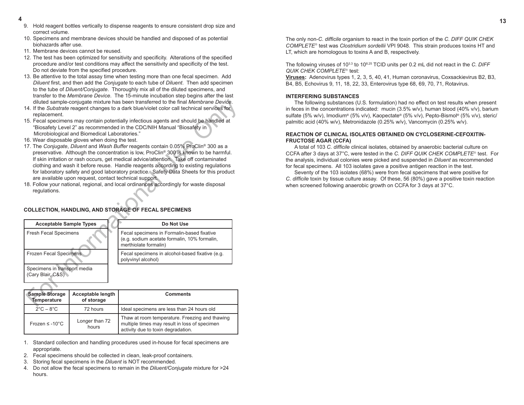- **4**<br>9. Hold reagent bottles vertically to dispense reagents to ensure consistent drop size and correct volume.
	- 10. Specimens and membrane devices should be handled and disposed of as potential biohazards after use.
	- 11. Membrane devices cannot be reused.
	- 12. The test has been optimized for sensitivity and specificity. Alterations of the specified procedure and/or test conditions may affect the sensitivity and specificity of the test. Do not deviate from the specified procedure.
	- 13. Be attentive to the total assay time when testing more than one fecal specimen. Add *Diluent* first, and then add the *Conjugate* to each tube of *Diluent*. Then add specimen to the tube of *Diluent/Conjugate*. Thoroughly mix all of the diluted specimens, and transfer to the *Membrane Device*. The 15-minute incubation step begins after the last diluted sample-conjugate mixture has been transferred to the final *Membrane Device*.
	- 14. If the *Substrate* reagent changes to a dark blue/violet color call technical services for replacement.
	- 15. Fecal specimens may contain potentially infectious agents and should be handled at "Biosafety Level 2" as recommended in the CDC/NIH Manual "Biosafety in Microbiological and Biomedical Laboratories."
	- 16. Wear disposable gloves when doing the test.
	- 17. The *Conjugate*, *Diluent* and *Wash Buffer* reagents contain 0.05% ProClin® 300 as a preservative. Although the concentration is low, ProClin® 300 is known to be harmful. If skin irritation or rash occurs, get medical advice/attention. Take off contaminated clothing and wash it before reuse. Handle reagents according to existing regulations for laboratory safety and good laboratory practice. Safety Data Sheets for this product are available upon request, contact technical support.
	- 18. Follow your national, regional, and local ordinances accordingly for waste disposal regulations.

# **COLLECTION, HANDLING, AND STORAGE OF FECAL SPECIMENS**

|                                                   | diluted sample-conjugate mixture has been transferred to the final Membrane Device.<br>14. If the Substrate reagent changes to a dark blue/violet color call technical services for                                                                                                                                                                                                                                                                                                                                                                                                |                                                                                                                     |  |  |  |
|---------------------------------------------------|------------------------------------------------------------------------------------------------------------------------------------------------------------------------------------------------------------------------------------------------------------------------------------------------------------------------------------------------------------------------------------------------------------------------------------------------------------------------------------------------------------------------------------------------------------------------------------|---------------------------------------------------------------------------------------------------------------------|--|--|--|
|                                                   | replacement.<br>15. Fecal specimens may contain potentially infectious agents and should be handled at<br>"Biosafety Level 2" as recommended in the CDC/NIH Manual "Biosafety in<br>Microbiological and Biomedical Laboratories."                                                                                                                                                                                                                                                                                                                                                  |                                                                                                                     |  |  |  |
|                                                   | 16. Wear disposable gloves when doing the test.<br>17. The Conjugate, Diluent and Wash Buffer reagents contain 0.05% ProClin® 300 as a<br>preservative. Although the concentration is low, ProClin <sup>®</sup> 300 is known to be harmful.<br>If skin irritation or rash occurs, get medical advice/attention. Take off contaminated<br>clothing and wash it before reuse. Handle reagents according to existing regulations<br>for laboratory safety and good laboratory practice. Safety Data Sheets for this product<br>are available upon request, contact technical support. |                                                                                                                     |  |  |  |
| requlations.                                      |                                                                                                                                                                                                                                                                                                                                                                                                                                                                                                                                                                                    | 18. Follow your national, regional, and local ordinances accordingly for waste disposal                             |  |  |  |
|                                                   |                                                                                                                                                                                                                                                                                                                                                                                                                                                                                                                                                                                    | <b>COLLECTION, HANDLING, AND STORAGE OF FECAL SPECIMENS</b>                                                         |  |  |  |
| <b>Acceptable Sample Types</b>                    |                                                                                                                                                                                                                                                                                                                                                                                                                                                                                                                                                                                    | Do Not Use                                                                                                          |  |  |  |
| <b>Fresh Fecal Specimens</b>                      |                                                                                                                                                                                                                                                                                                                                                                                                                                                                                                                                                                                    | Fecal specimens in Formalin-based fixative<br>(e.g. sodium acetate formalin, 10% formalin,<br>merthiolate formalin) |  |  |  |
| Frozen Fecal Specimens                            |                                                                                                                                                                                                                                                                                                                                                                                                                                                                                                                                                                                    | Fecal specimens in alcohol-based fixative (e.g.<br>polyvinyl alcohol)                                               |  |  |  |
| Specimens in transport media<br>(Cary Blair, C&S) |                                                                                                                                                                                                                                                                                                                                                                                                                                                                                                                                                                                    |                                                                                                                     |  |  |  |
|                                                   |                                                                                                                                                                                                                                                                                                                                                                                                                                                                                                                                                                                    |                                                                                                                     |  |  |  |
| <b>Sample Storage</b><br><b>Temperature</b>       | <b>Acceptable length</b><br>of storage                                                                                                                                                                                                                                                                                                                                                                                                                                                                                                                                             | <b>Comments</b>                                                                                                     |  |  |  |

| <b>Sample Storage</b><br>Temperature | Acceptable length<br>of storage | <b>Comments</b>                                                                                                                       |
|--------------------------------------|---------------------------------|---------------------------------------------------------------------------------------------------------------------------------------|
| $2^{\circ}$ C – 8 $^{\circ}$ C       | 72 hours                        | Ideal specimens are less than 24 hours old                                                                                            |
| Frozen $\leq -10^{\circ}$ C          | Longer than 72<br>hours         | Thaw at room temperature. Freezing and thawing<br>multiple times may result in loss of specimen<br>activity due to toxin degradation. |

- 1. Standard collection and handling procedures used in-house for fecal specimens are appropriate.
- 2. Fecal specimens should be collected in clean, leak-proof containers.
- 3. Storing fecal specimens in the *Diluent* is NOT recommended.
- 4. Do not allow the fecal specimens to remain in the *Diluent/Conjugate* mixture for >24 hours.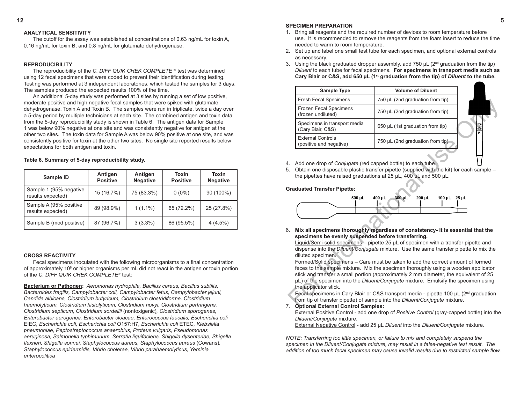#### **12 5 SPECIMEN PREPARATION**

- 1. Bring all reagents and the required number of devices to room temperature before use. It is recommended to remove the reagents from the foam insert to reduce the time needed to warm to room temperature.
- 2. Set up and label one small test tube for each specimen, and optional external controls as necessary.
- 3. Using the black graduated dropper assembly, add 750  $\mu$ L ( $2^{nd}$  graduation from the tip) *Diluent* to each tube for fecal specimens. **For specimens in transport media such as Cary Blair or C&S, add 650 µL (1st graduation from the tip) of** *Diluent* **to the tube.**

- 4. Add one drop of *Conjugate* (red capped bottle) to each tube.
- 5. Obtain one disposable plastic transfer pipette (supplied with the kit) for each sample the pipettes have raised graduations at 25 µL, 400 µL and 500 µL.

# **Graduated Transfer Pipette:**



# 7. **Optional External Control Samples:**

External Positive Control - add one drop of *Positive Control* (gray-capped bottle) into the *Diluent/Conjugate* mixture.

External Negative Control - add 25 µL *Diluent* into the *Diluent/Conjugate* mixture.

*NOTE: Transferring too little specimen, or failure to mix and completely suspend the specimen in the Diluent/Conjugate mixture, may result in a false-negative test result. The addition of too much fecal specimen may cause invalid results due to restricted sample flow.*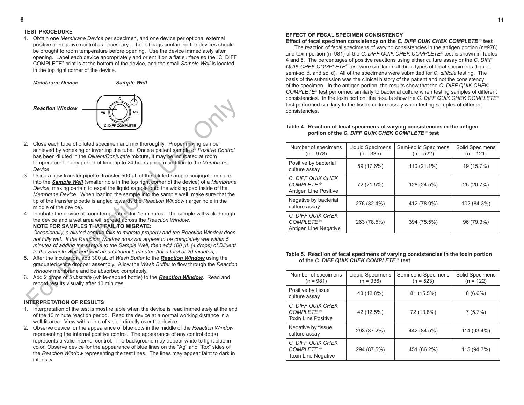# **TEST PROCEDURE**

1. Obtain one *Membrane Device* per specimen, and one device per optional external positive or negative control as necessary. The foil bags containing the devices should be brought to room temperature before opening. Use the device immediately after opening. Label each device appropriately and orient it on a flat surface so the "C. DIFF COMPLETE" print is at the bottom of the device, and the small *Sample Well* is located in the top right corner of the device.

*Membrane Device**Sample Well*



- 2. Close each tube of diluted specimen and mix thoroughly. Proper mixing can be achieved by vortexing or inverting the tube. Once a patient sample or *Positive Control*  has been diluted in the *Diluent/Conjugate* mixture, it may be incubated at room temperature for any period of time up to 24 hours prior to addition to the *Membrane Device*.
- **Reaction Window**<br>
For International Transport of the Contract Construction of the Construction of the Construction of the Construction of the property of the constrained in the Difference of the Difference of the propert 3. Using a new transfer pipette, transfer 500 µL of the diluted sample-conjugate mixture into the *Sample Well* (smaller hole in the top right corner of the device) of a *Membrane Device*, making certain to expel the liquid sample onto the wicking pad inside of the *Membrane Device*. When loading the sample into the sample well, make sure that the tip of the transfer pipette is angled towards the *Reaction Window* (larger hole in the middle of the device).
- 4. Incubate the device at room temperature for 15 minutes the sample will wick through the device and a wet area will spread across the *Reaction Window*. **NOTE FOR SAMPLES THAT FAIL TO MIGRATE:**

*Occasionally, a diluted sample fails to migrate properly and the Reaction Window does not fully wet. If the Reaction Window does not appear to be completely wet within 5 minutes of adding the sample to the Sample Well, then add 100 µL (4 drops) of Diluent to the Sample Well and wait an additional 5 minutes (for a total of 20 minutes).*

- 5. After the incubation, add 300 µL of *Wash Buffer* to the *Reaction Window* using the graduated white dropper assembly. Allow the *Wash Buffer* to flow through the *Reaction Window* membrane and be absorbed completely.
- 6. Add 2 drops of *Substrate* (white-capped bottle) to the *Reaction Window*. Read and record results visually after 10 minutes.

# **INTERPRETATION OF RESULTS**

- 1. Interpretation of the test is most reliable when the device is read immediately at the end of the 10 minute reaction period. Read the device at a normal working distance in a well-lit area. View with a line of vision directly over the device.
- 2. Observe device for the appearance of blue dots in the middle of the *Reaction Window* representing the internal positive control. The appearance of any control dot(s) represents a valid internal control. The background may appear white to light blue in color. Observe device for the appearance of blue lines on the "Ag" and "Tox" sides of the *Reaction Window* representing the test lines. The lines may appear faint to dark in intensity.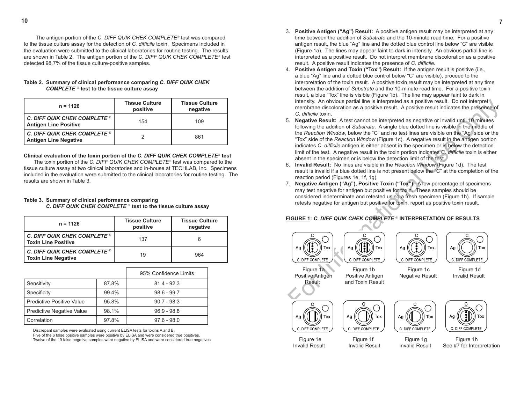- 3. **Positive Antigen ("Ag") Result:** A positive antigen result may be interpreted at any time between the addition of *Substrate* and the 10-minute read time. For a positive antigen result, the blue "Ag" line and the dotted blue control line below "C" are visible (Figure 1a). The lines may appear faint to dark in intensity. An obvious partial line is interpreted as a positive result. Do not interpret membrane discoloration as a positive result. A positive result indicates the presence of *C. difficile.*
- 4. **Positive Antigen and Toxin ("Tox") Result:** If the antigen result is positive (i.e., a blue "Ag" line and a dotted blue control below "C" are visible), proceed to the interpretation of the toxin result. A positive toxin result may be interpreted at any time between the addition of *Substrate* and the 10-minute read time. For a positive toxin result, a blue "Tox" line is visible (Figure 1b). The line may appear faint to dark in intensity. An obvious partial line is interpreted as a positive result. Do not interpret membrane discoloration as a positive result. A positive result indicates the presence of *C. difficile* toxin.
- intensity. An obvious partial line is interpreted as a positive result. A positive result. A positive result. A positive result. A positive result. A positive result. A beta can be interpreted as negative or invalid until 5. **Negative Result:** A test cannot be interpreted as negative or invalid until 10 minutes following the addition of *Substrate*. A single blue dotted line is visible in the middle of the *Reaction Window*, below the "C" and no test lines are visible on the "Ag" side or the "Tox" side of the *Reaction Window* (Figure 1c). A negative result in the antigen portion indicates *C. difficile* antigen is either absent in the specimen or is below the detection limit of the test. A negative result in the toxin portion indicates *C. difficile* toxin is either absent in the specimen or is below the detection limit of the test.
- 6. **Invalid Result:** No lines are visible in the *Reaction Window* (Figure 1d). The test result is invalid if a blue dotted line is not present below the "C" at the completion of the reaction period (Figures 1e, 1f, 1g).
- 7. **Negative Antigen ("Ag"), Positive Toxin ("Tox"):** A low percentage of specimens may test negative for antigen but positive for toxin. These samples should be considered indeterminate and retested using a fresh specimen (Figure 1h). If sample retests negative for antigen but positive for toxin, report as positive toxin result.

# **FIGURE 1:** *C. DIFF QUIK CHEK COMPLETE*  **INTERPRETATION OF RESULTS**





Positive Antigen Negative Result Invalid Result Result and Toxin Result

C. DIFF COMPLETE

Aa

Tox









 Figure 1e Figure 1f Figure 1g Figure 1h Invalid Result Invalid Result Invalid Result See #7 for Interpretation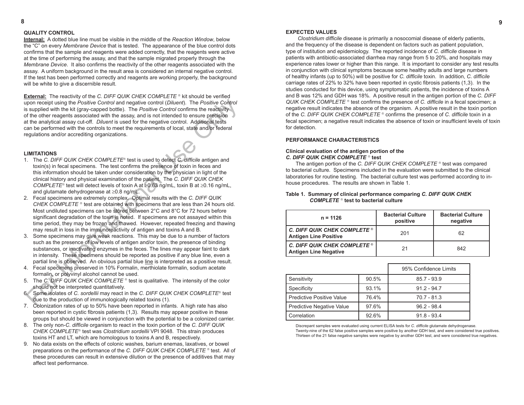# **QUALITY CONTROL**

**Internal:** A dotted blue line must be visible in the middle of the *Reaction Window*, below the "C" on every *Membrane Device* that is tested. The appearance of the blue control dots confirms that the sample and reagents were added correctly, that the reagents were active at the time of performing the assay, and that the sample migrated properly through the *Membrane Device*. It also confirms the reactivity of the other reagents associated with the assay. A uniform background in the result area is considered an internal negative control. If the test has been performed correctly and reagents are working properly, the background will be white to give a discernible result.

pon receipt using the *Positive Control* and negative control (*Diluent*). The *Positive* Control Constructions is supplied with the interactions associated with the assay, and is not interaded to ensure precision<br>of the **External:** The reactivity of the *C. DIFF QUIK CHEK COMPLETE* <sup>®</sup> kit should be verified upon receipt using the *Positive Control* and negative control (*Diluent*). The *Positive Control*  is supplied with the kit (gray-capped bottle). The *Positive Control* confirms the reactivity of the other reagents associated with the assay, and is not intended to ensure precision at the analytical assay cut-off. *Diluent* is used for the negative control. Additional tests can be performed with the controls to meet the requirements of local, state and/or federal regulations and/or accrediting organizations.

#### **LIMITATIONS**

- 1. The *C. DIFF QUIK CHEK COMPLETE*<sup>®</sup> test is used to detect *C. difficile* antigen and toxin(s) in fecal specimens. The test confirms the presence of toxin in feces and this information should be taken under consideration by the physician in light of the clinical history and physical examination of the patient. The *C. DIFF QUIK CHEK COMPLETE*<sup>®</sup> test will detect levels of toxin A at  $\geq 0.63$  ng/mL, toxin B at  $\geq 0.16$  ng/mL, and glutamate dehydrogenase at ≥0.8 ng/mL.
- 2. Fecal specimens are extremely complex. Optimal results with the *C. DIFF QUIK CHEK COMPLETE* <sup>®</sup> test are obtained with specimens that are less than 24 hours old. Most undiluted specimens can be stored between 2°C and 8°C for 72 hours before significant degradation of the toxin is noted. If specimens are not assayed within this time period, they may be frozen and thawed. However, repeated freezing and thawing may result in loss in the immunoreactivity of antigen and toxins A and B.
- 3. Some specimens may give weak reactions. This may be due to a number of factors such as the presence of low levels of antigen and/or toxin, the presence of binding substances, or inactivating enzymes in the feces. The lines may appear faint to dark in intensity. These specimens should be reported as positive if any blue line, even a partial line is observed. An obvious partial blue line is interpreted as a positive result.
- 4. Fecal specimens preserved in 10% Formalin, merthiolate formalin, sodium acetate formalin, or polyvinyl alcohol cannot be used.
- 5. The *C. DIFF QUIK CHEK COMPLETE* <sup>®</sup> test is qualitative. The intensity of the color should not be interpreted quantitatively.
- 6. Some isolates of *C. sordellii* may react in the *C. DIFF QUIK CHEK COMPLETE* test due to the production of immunologically related toxins (1).
- 7. Colonization rates of up to 50% have been reported in infants. A high rate has also been reported in cystic fibrosis patients (1,3). Results may appear positive in these groups but should be viewed in conjunction with the potential to be a colonized carrier.
- 8. The only non-*C. difficile* organism to react in the toxin portion of the *C. DIFF QUIK CHEK COMPLETE* test was *Clostridium sordellii* VPI 9048. This strain produces toxins HT and LT, which are homologous to toxins A and B, respectively.
- 9. No data exists on the effects of colonic washes, barium enemas, laxatives, or bowel preparations on the performance of the *C. DIFF QUIK CHEK COMPLETE* <sup>®</sup> test. All of these procedures can result in extensive dilution or the presence of additives that may affect test performance.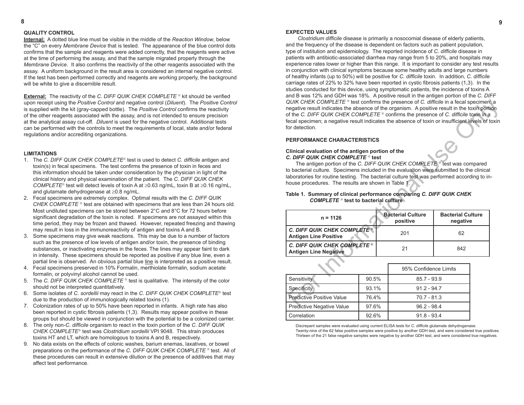# **8 9**

#### **EXPECTED VALUES**

*Clostridium difficile* disease is primarily a nosocomial disease of elderly patients, and the frequency of the disease is dependent on factors such as patient population, type of institution and epidemiology. The reported incidence of *C. difficile* disease in patients with antibiotic-associated diarrhea may range from 5 to 20%, and hospitals may experience rates lower or higher than this range. It is important to consider any test results in conjunction with clinical symptoms because some healthy adults and large numbers of healthy infants (up to 50%) will be positive for *C. difficile* toxin. In addition, *C. difficile* carriage rates of 22% to 32% have been reported in cystic fibrosis patients (1,3). In the studies conducted for this device, using symptomatic patients, the incidence of toxins A and B was 12% and GDH was 18%. A positive result in the antigen portion of the *C. DIFF QUIK CHEK COMPLETE* <sup>®</sup> test confirms the presence of *C. difficile* in a fecal specimen; a negative result indicates the absence of the organism. A positive result in the toxin portion of the *C. DIFF QUIK CHEK COMPLETE* <sup>®</sup> confirms the presence of *C. difficile* toxin in a fecal specimen; a negative result indicates the absence of toxin or insufficient levels of toxin for detection.

#### **PERFORMANCE CHARACTERISTICS**

#### **Clinical evaluation of the antigen portion of the**  *C. DIFF QUIK CHEK COMPLETE*  **test**

# **Table 1. Summary of clinical performance comparing** *C. DIFF QUIK CHEK COMPLETE*  **test to bacterial culture**

| QUIK CHEK COMPLETE ® test confirms the presence of C. difficile in a fecal specimen; a<br>negative result indicates the absence of the organism. A positive result in the toxin portion<br>of the C. DIFF QUIK CHEK COMPLETE ® confirms the presence of C. difficile toxin in a<br>fecal specimen; a negative result indicates the absence of toxin or insufficient levels of toxin<br>for detection.                                                                                                                                         |                                                                              |  |               |  |  |  |
|-----------------------------------------------------------------------------------------------------------------------------------------------------------------------------------------------------------------------------------------------------------------------------------------------------------------------------------------------------------------------------------------------------------------------------------------------------------------------------------------------------------------------------------------------|------------------------------------------------------------------------------|--|---------------|--|--|--|
| PERFORMANCE CHARACTERISTICS                                                                                                                                                                                                                                                                                                                                                                                                                                                                                                                   |                                                                              |  |               |  |  |  |
| Clinical evaluation of the antigen portion of the<br>C. DIFF QUIK CHEK COMPLETE ® test<br>The antigen portion of the C. DIFF QUIK CHEK COMPLETE ® test was compared<br>to bacterial culture. Specimens included in the evaluation were submitted to the clinical<br>laboratories for routine testing. The bacterial culture test was performed according to in-<br>house procedures. The results are shown in Table 1.<br>Table 1. Summary of clinical performance comparing C. DIFF QUIK CHEK<br><b>COMPLETE</b> ® test to bacterial culture |                                                                              |  |               |  |  |  |
| $n = 1126$                                                                                                                                                                                                                                                                                                                                                                                                                                                                                                                                    | <b>Bacterial Culture</b><br><b>Bacterial Culture</b><br>positive<br>negative |  |               |  |  |  |
| C. DIFF QUIK CHEK COMPLETE®<br>201<br>62<br><b>Antigen Line Positive</b>                                                                                                                                                                                                                                                                                                                                                                                                                                                                      |                                                                              |  |               |  |  |  |
| C. DIFF QUIK CHEK COMPLETE ®<br>21<br>842<br><b>Antigen Line Negative</b>                                                                                                                                                                                                                                                                                                                                                                                                                                                                     |                                                                              |  |               |  |  |  |
| 95% Confidence Limits                                                                                                                                                                                                                                                                                                                                                                                                                                                                                                                         |                                                                              |  |               |  |  |  |
| Sensitivity                                                                                                                                                                                                                                                                                                                                                                                                                                                                                                                                   | 90.5%                                                                        |  | $85.7 - 93.9$ |  |  |  |
| Specificity                                                                                                                                                                                                                                                                                                                                                                                                                                                                                                                                   | 93.1%                                                                        |  | $91.2 - 94.7$ |  |  |  |
| <b>Predictive Positive Value</b>                                                                                                                                                                                                                                                                                                                                                                                                                                                                                                              | 76.4%<br>$70.7 - 81.3$                                                       |  |               |  |  |  |
| Q7 6%<br>Prodictive Neastive Value<br>$QQ = Q$                                                                                                                                                                                                                                                                                                                                                                                                                                                                                                |                                                                              |  |               |  |  |  |

|                                  | 95% Confidence Limits |               |  |
|----------------------------------|-----------------------|---------------|--|
| Sensitivity                      | 90.5%                 | $85.7 - 93.9$ |  |
| Specificity                      | 93.1%                 | $91.2 - 94.7$ |  |
| <b>Predictive Positive Value</b> | 76.4%                 | $70.7 - 81.3$ |  |
| Predictive Negative Value        | 97.6%                 | $96.2 - 98.4$ |  |
| Correlation                      | 92.6%                 | $91.8 - 93.4$ |  |

Discrepant samples were evaluated using current ELISA tests for *C. difficile* glutamate dehydrogenase.

Twenty-nine of the 62 false positive samples were positive by another GDH test, and were considered true positives. Thirteen of the 21 false negative samples were negative by another GDH test, and were considered true negatives.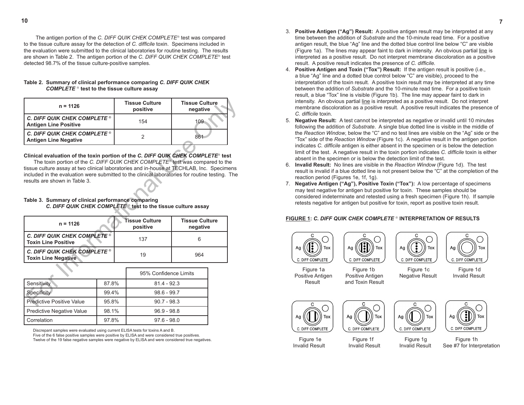The antigen portion of the *C. DIFF QUIK CHEK COMPLETE*<sup>®</sup> test was compared to the tissue culture assay for the detection of *C. difficile* toxin. Specimens included in the evaluation were submitted to the clinical laboratories for routine testing. The results are shown in Table 2. The antigen portion of the *C. DIFF QUIK CHEK COMPLETE*<sup>®</sup> test detected 98.7% of the tissue culture-positive samples.

| Table 2. Summary of clinical performance comparing C. DIFF QUIK CHEK |
|----------------------------------------------------------------------|
| COMPLETE <sup>®</sup> test to the tissue culture assay               |

| $n = 1126$                                                                                                                                                                                                                                                                                                                                                                                                                                                                                                               |       | <b>Tissue Culture</b><br>positive | <b>Tissue Culture</b><br>negative |  |  |  |
|--------------------------------------------------------------------------------------------------------------------------------------------------------------------------------------------------------------------------------------------------------------------------------------------------------------------------------------------------------------------------------------------------------------------------------------------------------------------------------------------------------------------------|-------|-----------------------------------|-----------------------------------|--|--|--|
| C. DIFF QUIK CHEK COMPLETE ®<br><b>Antigen Line Positive</b>                                                                                                                                                                                                                                                                                                                                                                                                                                                             |       | 154                               | 109                               |  |  |  |
| <b>C. DIFF QUIK CHEK COMPLETE ®</b><br><b>Antigen Line Negative</b>                                                                                                                                                                                                                                                                                                                                                                                                                                                      |       | $\overline{2}$                    | 861                               |  |  |  |
| Clinical evaluation of the toxin portion of the C. DIFF QUIK CHEK COMPLETE® test<br>The toxin portion of the C. DIFF QUIK CHEK COMPLETE® test was compared to the<br>tissue culture assay at two clinical laboratories and in-house at TECHLAB, Inc. Specimens<br>included in the evaluation were submitted to the clinical laboratories for routine testing. The<br>results are shown in Table 3.<br>Table 3. Summary of clinical performance comparing<br>C. DIFF QUIK CHEK COMPLETE® test to the tissue culture assay |       |                                   |                                   |  |  |  |
|                                                                                                                                                                                                                                                                                                                                                                                                                                                                                                                          |       |                                   |                                   |  |  |  |
| $n = 1126$                                                                                                                                                                                                                                                                                                                                                                                                                                                                                                               |       | Tissue Culture<br>positive        | <b>Tissue Culture</b><br>negative |  |  |  |
| C. DIFF QUIK CHEK COMPLETE ®<br><b>Toxin Line Positive</b>                                                                                                                                                                                                                                                                                                                                                                                                                                                               |       | 137                               | 6                                 |  |  |  |
| <b>C. DIFF QUIK CHEK COMPLETE ®</b><br><b>Toxin Line Negative</b>                                                                                                                                                                                                                                                                                                                                                                                                                                                        |       | 19                                | 964                               |  |  |  |
|                                                                                                                                                                                                                                                                                                                                                                                                                                                                                                                          |       | 95% Confidence Limits             |                                   |  |  |  |
| Sensitivity                                                                                                                                                                                                                                                                                                                                                                                                                                                                                                              | 87.8% | $814 - 923$                       |                                   |  |  |  |
| Specificity                                                                                                                                                                                                                                                                                                                                                                                                                                                                                                              | 99.4% | $98.6 - 99.7$                     |                                   |  |  |  |

# **Clinical evaluation of the toxin portion of the** *C. DIFF QUIK CHEK COMPLETE* **test**

# **Table 3. Summary of clinical performance comparing**   *C. DIFF QUIK CHEK COMPLETE*  **test to the tissue culture assay**

| $n = 1126$                                                          | Tissue Culture<br>positive | <b>Tissue Culture</b><br>negative |
|---------------------------------------------------------------------|----------------------------|-----------------------------------|
| <b>C. DIFF QUIK CHEK COMPLETE ®</b><br><b>Toxin Line Positive</b>   | 137                        |                                   |
| C. DIFF QUIK CHEK COMPLETE $^{\circ}$<br><b>Toxin Line Negative</b> | 19                         | 964                               |

|                           | 95% Confidence Limits |               |
|---------------------------|-----------------------|---------------|
| Sensitivity               | 87.8%                 | $81.4 - 92.3$ |
| Specificity               | 99.4%                 | $98.6 - 99.7$ |
| Predictive Positive Value | 95.8%                 | $90.7 - 98.3$ |
| Predictive Negative Value | 98.1%                 | $96.9 - 98.8$ |
| <b>Correlation</b>        | 97.8%                 | $97.6 - 98.0$ |

Discrepant samples were evaluated using current ELISA tests for toxins A and B.

Five of the 6 false positive samples were positive by ELISA and were considered true positives.

Twelve of the 19 false negative samples were negative by ELISA and were considered true negatives.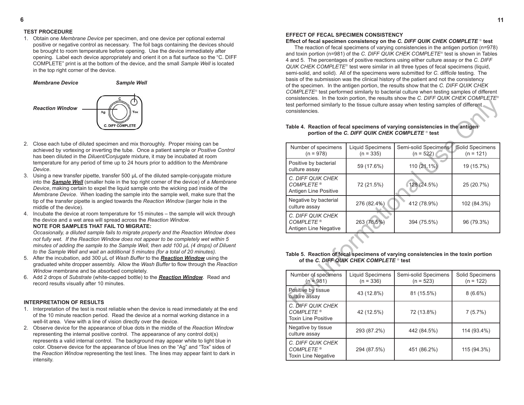# **EFFECT OF FECAL SPECIMEN CONSISTENCY**

**Effect of fecal specimen consistency on the** *C. DIFF QUIK CHEK COMPLETE*  **test** The reaction of fecal specimens of varying consistencies in the antigen portion (n=978) and toxin portion (n=981) of the *C. DIFF QUIK CHEK COMPLETE*<sup>®</sup> test is shown in Tables 4 and 5. The percentages of positive reactions using either culture assay or the *C. DIFF QUIK CHEK COMPLETE<sup>®</sup>* test were similar in all three types of fecal specimens (liquid, semi-solid, and solid). All of the specimens were submitted for *C. difficile* testing. The basis of the submission was the clinical history of the patient and not the consistency of the specimen. In the antigen portion, the results show that the *C. DIFF QUIK CHEK COMPLETE*<sup>®</sup> test performed similarly to bacterial culture when testing samples of different consistencies. In the toxin portion, the results show the *C. DIFF QUIK CHEK COMPLETE* test performed similarly to the tissue culture assay when testing samples of different consistencies.

| consistencies. In the toxin portion, the results show the O. Dir rile on the Rich<br>test performed similarly to the tissue culture assay when testing samples of different<br>consistencies.<br>Table 4. Reaction of fecal specimens of varying consistencies in the antigen |                                        |                                     |                                |  |  |  |
|-------------------------------------------------------------------------------------------------------------------------------------------------------------------------------------------------------------------------------------------------------------------------------|----------------------------------------|-------------------------------------|--------------------------------|--|--|--|
| portion of the C. DIFF QUIK CHEK COMPLETE ® test<br>Solid Specimens<br>Number of specimens<br><b>Liquid Specimens</b><br>Semi-solid Specimens                                                                                                                                 |                                        |                                     |                                |  |  |  |
| $(n = 978)$                                                                                                                                                                                                                                                                   | $(n = 335)$                            | $(n = 522)$                         | $(n = 121)$                    |  |  |  |
| Positive by bacterial<br>culture assay                                                                                                                                                                                                                                        | 59 (17.6%)                             | 110 (21.1%)                         | 19 (15.7%)                     |  |  |  |
| C. DIFF QUIK CHEK<br><b>COMPLETE®</b><br>Antigen Line Positive                                                                                                                                                                                                                | 72 (21.5%)                             | 128(24.5%)                          | 25 (20.7%)                     |  |  |  |
| Negative by bacterial<br>culture assay                                                                                                                                                                                                                                        | 276 (82.4%)                            | 412 (78.9%)                         | 102 (84.3%)                    |  |  |  |
| C. DIFF QUIK CHEK<br><b>COMPLETE®</b><br>Antigen Line Negative                                                                                                                                                                                                                | 263 (78.5%)                            | 394 (75.5%)                         | 96 (79.3%)                     |  |  |  |
| Table 5. Reaction of fecal specimens of varying consistencies in the toxin portion<br>of the C. DIFF QUIK CHEK COMPLETE ® test                                                                                                                                                |                                        |                                     |                                |  |  |  |
|                                                                                                                                                                                                                                                                               |                                        |                                     |                                |  |  |  |
| Number of specimens<br>$(n = 981)$                                                                                                                                                                                                                                            | <b>Liquid Specimens</b><br>$(n = 336)$ | Semi-solid Specimens<br>$(n = 523)$ | Solid Specimens<br>$(n = 122)$ |  |  |  |
| Positive by tissue<br>culture assay                                                                                                                                                                                                                                           | 43 (12.8%)                             | 81 (15.5%)                          | $8(6.6\%)$                     |  |  |  |
| C. DIFF OUIK CHEK                                                                                                                                                                                                                                                             |                                        |                                     |                                |  |  |  |

#### **Table 4. Reaction of fecal specimens of varying consistencies in the antigen portion of the C. DIFF QUIK CHEK COMPLETE** <sup>®</sup> test

# **Table 5. Reaction of fecal specimens of varying consistencies in the toxin portion of the** *C. DIFF QUIK CHEK COMPLETE*  **test**

| Number of specimens<br>$(n = 981)$                                  | Liquid Specimens<br>$(n = 336)$ | Semi-solid Specimens<br>$(n = 523)$ | Solid Specimens<br>$(n = 122)$ |
|---------------------------------------------------------------------|---------------------------------|-------------------------------------|--------------------------------|
| Positive by tissue<br>culture assay                                 | 43 (12.8%)                      | 81 (15.5%)                          | $8(6.6\%)$                     |
| C. DIFF QUIK CHEK<br><b>COMPLETE®</b><br><b>Toxin Line Positive</b> | 42 (12.5%)                      | 72 (13.8%)                          | 7(5.7%)                        |
| Negative by tissue<br>culture assay                                 | 293 (87.2%)                     | 442 (84.5%)                         | 114 (93.4%)                    |
| C. DIFF QUIK CHEK<br><b>COMPLETE®</b><br><b>Toxin Line Negative</b> | 294 (87.5%)                     | 451 (86.2%)                         | 115 (94.3%)                    |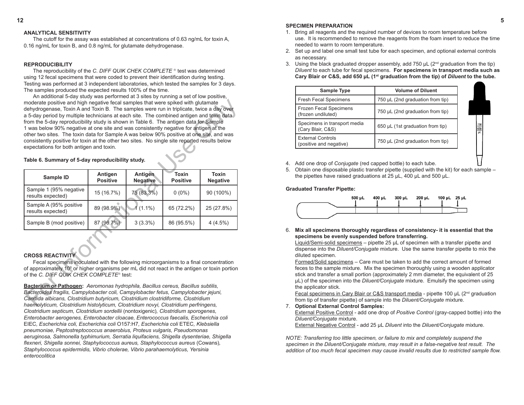# **ANALYTICAL SENSITIVITY**

The cutoff for the assay was established at concentrations of 0.63 ng/mL for toxin A, 0.16 ng/mL for toxin B, and 0.8 ng/mL for glutamate dehydrogenase.

#### **REPRODUCIBILITY**

The reproducibility of the *C. DIFF QUIK CHEK COMPLETE*<sup>®</sup> test was determined using 12 fecal specimens that were coded to prevent their identification during testing. Testing was performed at 3 independent laboratories, which tested the samples for 3 days. The samples produced the expected results 100% of the time.

An additional 5-day study was performed at 3 sites by running a set of low positive, moderate positive and high negative fecal samples that were spiked with glutamate dehydrogenase, Toxin A and Toxin B. The samples were run in triplicate, twice a day over a 5-day period by multiple technicians at each site. The combined antigen and toxin data from the 5-day reproducibility study is shown in Table 6. The antigen data for Sample 1 was below 90% negative at one site and was consistently negative for antigen at the other two sites. The toxin data for Sample A was below 90% positive at one site, and was consistently positive for toxin at the other two sites. No single site reported results below expectations for both antigen and toxin.

| moderate positive and high negative fecal samples that were spiked with glutamate<br>dehydrogenase, Toxin A and Toxin B. The samples were run in triplicate, twice a day over<br>a 5-day period by multiple technicians at each site. The combined antigen and toxin data<br>from the 5-day reproducibility study is shown in Table 6. The antigen data for Sample<br>1 was below 90% negative at one site and was consistently negative for antigen at the<br>other two sites. The toxin data for Sample A was below 90% positive at one site, and was<br>consistently positive for toxin at the other two sites. No single site reported results below<br>expectations for both antigen and toxin.<br>Table 6. Summary of 5-day reproducibility study. |                            |                                   |                                 |                                 |  |  |
|----------------------------------------------------------------------------------------------------------------------------------------------------------------------------------------------------------------------------------------------------------------------------------------------------------------------------------------------------------------------------------------------------------------------------------------------------------------------------------------------------------------------------------------------------------------------------------------------------------------------------------------------------------------------------------------------------------------------------------------------------------|----------------------------|-----------------------------------|---------------------------------|---------------------------------|--|--|
| Sample ID                                                                                                                                                                                                                                                                                                                                                                                                                                                                                                                                                                                                                                                                                                                                                | Antigen<br><b>Positive</b> | <b>Antigen</b><br><b>Negative</b> | <b>Toxin</b><br><b>Positive</b> | <b>Toxin</b><br><b>Negative</b> |  |  |
| Sample 1 (95% negative<br>results expected)                                                                                                                                                                                                                                                                                                                                                                                                                                                                                                                                                                                                                                                                                                              | 15 (16.7%)                 | 75 (83.3%)                        | $0(0\%)$                        | 90 (100%)                       |  |  |
| Sample A (95% positive<br>results expected)                                                                                                                                                                                                                                                                                                                                                                                                                                                                                                                                                                                                                                                                                                              | 89 (98.9%)                 | $1(1.1\%)$                        | 65 (72.2%)                      | 25 (27.8%)                      |  |  |
| Sample B (mod positive)                                                                                                                                                                                                                                                                                                                                                                                                                                                                                                                                                                                                                                                                                                                                  | 87 (96.7%)                 | $3(3.3\%)$                        | 86 (95.5%)                      | 4(4.5%)                         |  |  |
| <b>CROSS REACTIVITY</b><br>Fecal specimens inoculated with the following microorganisms to a final concentration<br>of approximately 10 <sup>8</sup> or higher organisms per mL did not react in the antigen or toxin portion<br>of the C. DIEF QUIK CHEK COMPLETE® test:<br>Bacterium or Pathogen: Aeromonas hydrophila, Bacillus cereus, Bacillus subtilis,<br>Bacteroides fragilis, Campylobacter coli, Campylobacter fetus, Campylobacter jejuni,<br>Candida albicans, Clostridium butyricum, Clostridium clostridiforme, Clostridium<br>haemolyticum, Clostridium histolyticum, Clostridium novyi, Clostridium perfringens,                                                                                                                         |                            |                                   |                                 |                                 |  |  |

# **Table 6. Summary of 5-day reproducibility study.**

# **CROSS REACTIVITY**

**Bacterium or Pathogen:** *Aeromonas hydrophila, Bacillus cereus, Bacillus subtilis, Bacteroides fragilis, Campylobacter coli, Campylobacter fetus, Campylobacter jejuni, Candida albicans, Clostridium butyricum, Clostridium clostridiforme, Clostridium haemolyticum, Clostridium histolyticum, Clostridium novyi, Clostridium perfringens, Clostridium septicum, Clostridium sordellii* (nontoxigenic)*, Clostridium sporogenes, Enterobacter aerogenes, Enterobacter cloacae, Enterococcus faecalis, Escherichia coli*  EIEC*, Escherichia coli, Escherichia coli* O157:H7*, Escherichia coli* ETEC*, Klebsiella pneumoniae, Peptostreptococcus anaerobius, Proteus vulgaris, Pseudomonas aeruginosa, Salmonella typhimurium, Serratia liquifaciens, Shigella dysenteriae, Shigella flexneri, Shigella sonnei, Staphylococcus aureus, Staphylococcus aureus* (Cowans)*, Staphylococcus epidermidis, Vibrio cholerae, Vibrio parahaemolyticus, Yersinia enterocolitica*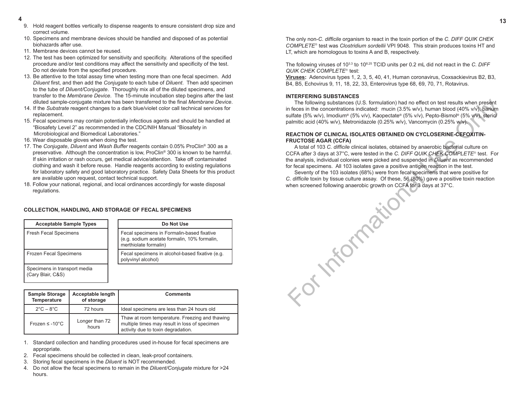The only non-*C. difficile* organism to react in the toxin portion of the *C. DIFF QUIK CHEK COMPLETE*<sup>®</sup> test was *Clostridium sordellii* VPI 9048. This strain produces toxins HT and LT, which are homologous to toxins A and B, respectively.

The following viruses of 103.3 to 108.25 TCID units per 0.2 mL did not react in the *C. DIFF*  **QUIK CHEK COMPLETE®** test:

**Viruses:** Adenovirus types 1, 2, 3, 5, 40, 41, Human coronavirus, Coxsackievirus B2, B3, B4, B5, Echovirus 9, 11, 18, 22, 33, Enterovirus type 68, 69, 70, 71, Rotavirus.

#### **INTERFERING SUBSTANCES**

The following substances (U.S. formulation) had no effect on test results when present in feces in the concentrations indicated: mucin (3.5% w/v), human blood (40% v/v), barium sulfate (5% w/v), Imodium® (5% v/v), Kaopectate® (5% v/v), Pepto-Bismol® (5% v/v), steric/ palmitic acid (40% w/v), Metronidazole (0.25% w/v), Vancomycin (0.25% w/v).

# **REACTION OF CLINICAL ISOLATES OBTAINED ON CYCLOSERINE-CEFOXITIN-FRUCTOSE AGAR (CCFA)**

The following substances (U.S. formulation) had no effect on lest results when present<br>infeces in the concentrations indicated: mucin (3.5% wV), human blood (40% wV), Barium<br>sultate (5% wV), Indolume (5% vV), Kacpectate' ( A total of 103 *C. difficile* clinical isolates, obtained by anaerobic bacterial culture on CCFA after 3 days at 37°C, were tested in the *C. DIFF QUIK CHEK COMPLETE* test. For the analysis, individual colonies were picked and suspended in *Diluent* as recommended for fecal specimens. All 103 isolates gave a positive antigen reaction in the test.

Seventy of the 103 isolates (68%) were from fecal specimens that were positive for *C. difficile* toxin by tissue culture assay. Of these, 56 (80%) gave a positive toxin reaction when screened following anaerobic growth on CCFA for 3 days at 37°C.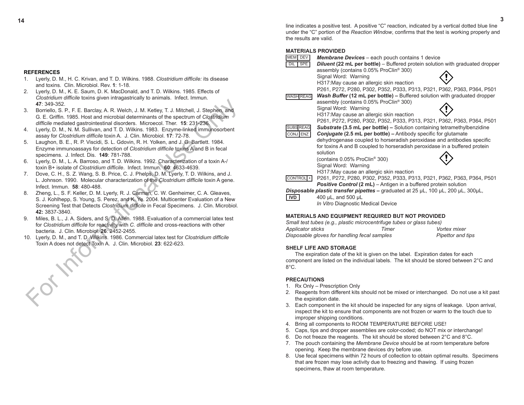# **REFERENCES**

- 1. Lyerly, D. M., H. C. Krivan, and T. D. Wilkins. 1988. *Clostridium difficile:* its disease and toxins. Clin. Microbiol. Rev. **1**: 1-18.
- 2. Lyerly, D. M., K. E. Saum, D. K. MacDonald, and T. D. Wilkins. 1985. Effects of *Clostridium difficile* toxins given intragastrically to animals. Infect. Immun. **47**: 349-352.
- 3. Borriello, S. P., F. E. Barclay, A. R. Welch, J. M. Ketley, T. J. Mitchell, J. Stephen, and G. E. Griffin. 1985. Host and microbial determinants of the spectrum of *Clostridium difficile* mediated gastrointestinal disorders. Microecol. Ther. **15**: 231-236.
- 4. Lyerly, D. M., N. M. Sullivan, and T. D. Wilkins. 1983. Enzyme-linked immunosorbent assay for *Clostridium difficile* toxin A. J. Clin. Microbiol. **17**: 72-78.
- 5. Laughon, B. E., R. P. Viscidi, S. L. Gdovin, R. H. Yolken, and J. G. Bartlett. 1984. Enzyme immunoassays for detection of *Clostridium difficile* toxins A and B in fecal specimens. J. Infect. Dis. **149**: 781-788.
- 6. Lyerly, D. M., L. A. Barroso, and T. D. Wilkins. 1992. Characterization of a toxin A-/ toxin B+ isolate of *Clostridium difficile*. Infect. Immun. **60**: 4633-4639.
- 7. Dove, C. H., S. Z. Wang, S. B. Price, C. J. Phelps, D. M. Lyerly, T. D. Wilkins, and J. L. Johnson. 1990. Molecular characterization of the *Clostridium difficile* toxin A gene. Infect. Immun. **58**: 480-488.
- For Subsection of a Direct Control of the Chinamic Control of School (S. P., F. E. Barclay, A. R. Welch, J. M. Methely, T. J. Michellel, J. Stephen, and<br>
G. E. Griffin. 1985. Host and microbial determinants of the spectrum 8. Zheng, L., S. F. Keller, D. M. Lyerly, R. J. Carman, C. W. Genheimer, C. A. Gleaves, S. J. Kohlhepp, S. Young, S. Perez, and K. Ye. 2004. Multicenter Evaluation of a New Screening Test that Detects *Clostridium difficile* in Fecal Specimens. J. Clin. Microbiol. **42:** 3837-3840.
- 9. Miles, B. L., J. A. Siders, and S. D. Allen. 1988. Evaluation of a commercial latex test for *Clostridium difficile* for reactivity with *C. difficile* and cross-reactions with other bacteria. J. Clin. Microbiol. **26**: 2452-2455.
- 10. Lyerly, D. M., and T. D. Wilkins. 1986. Commercial latex test for *Clostridium difficile* Toxin A does not detect Toxin A. J. Clin. Microbiol. **23**: 622-623.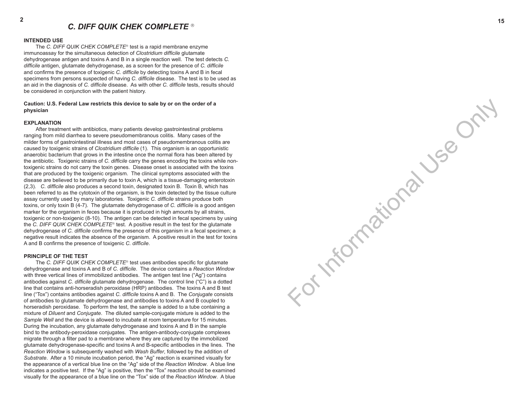For Informational Use Only